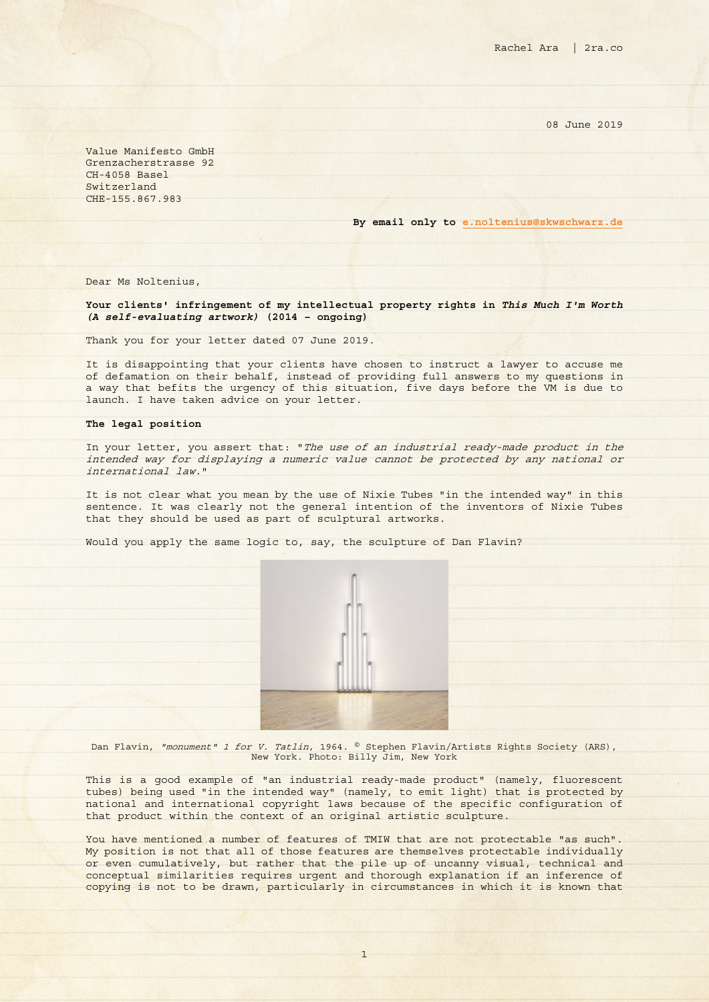08 June 2019

Value Manifesto GmbH Grenzacherstrasse 92 CH-4058 Basel Switzerland CHE-155.867.983

**By email only to [e.noltenius@skwschwarz.de](mailto:e.noltenius@skwschwarz.de)**

Dear Ms Noltenius,

## **Your clients' infringement of my intellectual property rights in** *This Much I'm Worth (A self-evaluating artwork)* **(2014 – ongoing)**

Thank you for your letter dated 07 June 2019.

It is disappointing that your clients have chosen to instruct a lawyer to accuse me of defamation on their behalf, instead of providing full answers to my questions in a way that befits the urgency of this situation, five days before the VM is due to launch. I have taken advice on your letter.

## **The legal position**

In your letter, you assert that: "The use of an industrial ready-made product in the intended way for displaying a numeric value cannot be protected by any national or international law."

It is not clear what you mean by the use of Nixie Tubes "in the intended way" in this sentence. It was clearly not the general intention of the inventors of Nixie Tubes that they should be used as part of sculptural artworks.

Would you apply the same logic to, say, the sculpture of Dan Flavin?



Dan Flavin, "monument" 1 for V. Tatlin, 1964. © Stephen Flavin/Artists Rights Society (ARS), New York. Photo: Billy Jim, New York

This is a good example of "an industrial ready-made product" (namely, fluorescent tubes) being used "in the intended way" (namely, to emit light) that is protected by national and international copyright laws because of the specific configuration of that product within the context of an original artistic sculpture.

You have mentioned a number of features of TMIW that are not protectable "as such". My position is not that all of those features are themselves protectable individually or even cumulatively, but rather that the pile up of uncanny visual, technical and conceptual similarities requires urgent and thorough explanation if an inference of copying is not to be drawn, particularly in circumstances in which it is known that